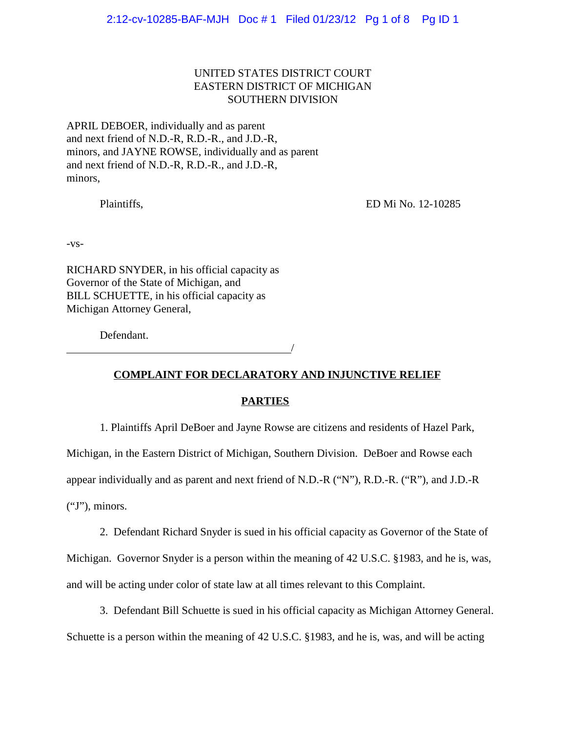2:12-cv-10285-BAF-MJH Doc # 1 Filed 01/23/12 Pg 1 of 8 Pg ID 1

# UNITED STATES DISTRICT COURT EASTERN DISTRICT OF MICHIGAN SOUTHERN DIVISION

APRIL DEBOER, individually and as parent and next friend of N.D.-R, R.D.-R., and J.D.-R, minors, and JAYNE ROWSE, individually and as parent and next friend of N.D.-R, R.D.-R., and J.D.-R, minors,

Plaintiffs, ED Mi No. 12-10285

-vs-

RICHARD SNYDER, in his official capacity as Governor of the State of Michigan, and BILL SCHUETTE, in his official capacity as Michigan Attorney General,

<u>/</u>

Defendant.

**COMPLAINT FOR DECLARATORY AND INJUNCTIVE RELIEF**

## **PARTIES**

1. Plaintiffs April DeBoer and Jayne Rowse are citizens and residents of Hazel Park,

Michigan, in the Eastern District of Michigan, Southern Division. DeBoer and Rowse each

appear individually and as parent and next friend of N.D.-R ("N"), R.D.-R. ("R"), and J.D.-R

("J"), minors.

2. Defendant Richard Snyder is sued in his official capacity as Governor of the State of

Michigan. Governor Snyder is a person within the meaning of 42 U.S.C. §1983, and he is, was, and will be acting under color of state law at all times relevant to this Complaint.

3. Defendant Bill Schuette is sued in his official capacity as Michigan Attorney General. Schuette is a person within the meaning of 42 U.S.C. §1983, and he is, was, and will be acting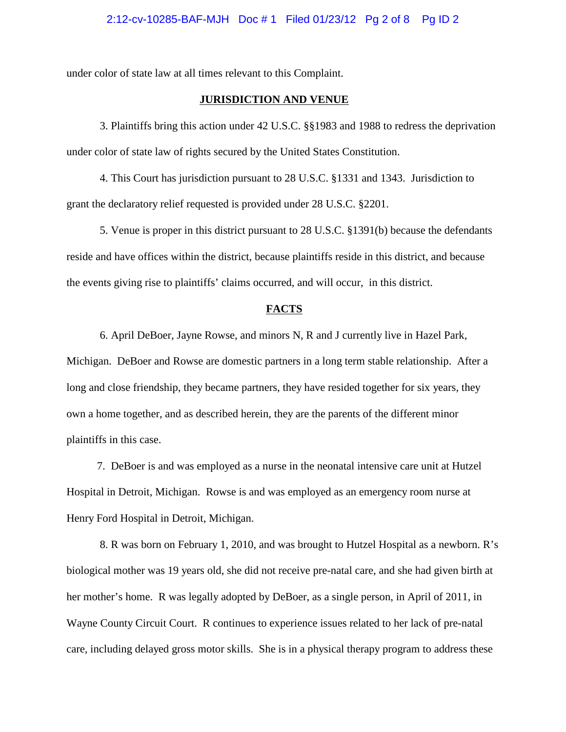under color of state law at all times relevant to this Complaint.

### **JURISDICTION AND VENUE**

3. Plaintiffs bring this action under 42 U.S.C. §§1983 and 1988 to redress the deprivation under color of state law of rights secured by the United States Constitution.

4. This Court has jurisdiction pursuant to 28 U.S.C. §1331 and 1343. Jurisdiction to grant the declaratory relief requested is provided under 28 U.S.C. §2201.

5. Venue is proper in this district pursuant to 28 U.S.C. §1391(b) because the defendants reside and have offices within the district, because plaintiffs reside in this district, and because the events giving rise to plaintiffs' claims occurred, and will occur, in this district.

### **FACTS**

6. April DeBoer, Jayne Rowse, and minors N, R and J currently live in Hazel Park, Michigan. DeBoer and Rowse are domestic partners in a long term stable relationship. After a long and close friendship, they became partners, they have resided together for six years, they own a home together, and as described herein, they are the parents of the different minor plaintiffs in this case.

 7. DeBoer is and was employed as a nurse in the neonatal intensive care unit at Hutzel Hospital in Detroit, Michigan. Rowse is and was employed as an emergency room nurse at Henry Ford Hospital in Detroit, Michigan.

8. R was born on February 1, 2010, and was brought to Hutzel Hospital as a newborn. R's biological mother was 19 years old, she did not receive pre-natal care, and she had given birth at her mother's home. R was legally adopted by DeBoer, as a single person, in April of 2011, in Wayne County Circuit Court. R continues to experience issues related to her lack of pre-natal care, including delayed gross motor skills. She is in a physical therapy program to address these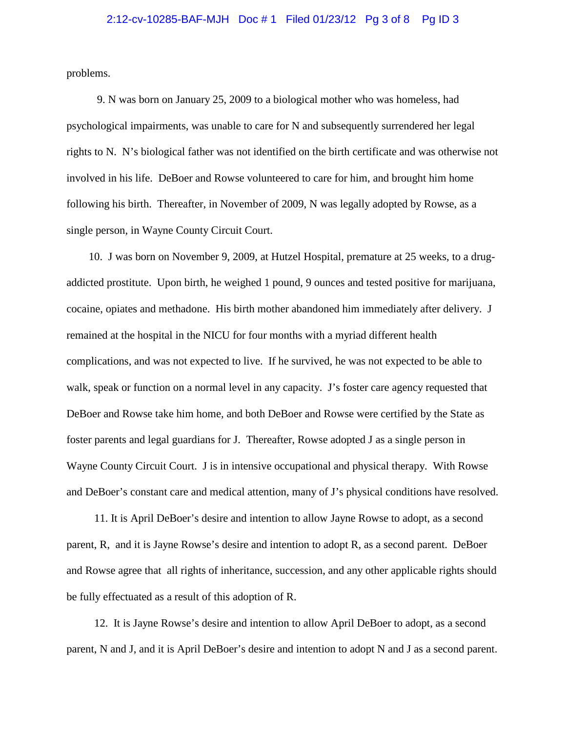## 2:12-cv-10285-BAF-MJH Doc # 1 Filed 01/23/12 Pg 3 of 8 Pg ID 3

problems.

 9. N was born on January 25, 2009 to a biological mother who was homeless, had psychological impairments, was unable to care for N and subsequently surrendered her legal rights to N. N's biological father was not identified on the birth certificate and was otherwise not involved in his life. DeBoer and Rowse volunteered to care for him, and brought him home following his birth. Thereafter, in November of 2009, N was legally adopted by Rowse, as a single person, in Wayne County Circuit Court.

 10. J was born on November 9, 2009, at Hutzel Hospital, premature at 25 weeks, to a drugaddicted prostitute. Upon birth, he weighed 1 pound, 9 ounces and tested positive for marijuana, cocaine, opiates and methadone. His birth mother abandoned him immediately after delivery. J remained at the hospital in the NICU for four months with a myriad different health complications, and was not expected to live. If he survived, he was not expected to be able to walk, speak or function on a normal level in any capacity. J's foster care agency requested that DeBoer and Rowse take him home, and both DeBoer and Rowse were certified by the State as foster parents and legal guardians for J. Thereafter, Rowse adopted J as a single person in Wayne County Circuit Court. J is in intensive occupational and physical therapy. With Rowse and DeBoer's constant care and medical attention, many of J's physical conditions have resolved.

 11. It is April DeBoer's desire and intention to allow Jayne Rowse to adopt, as a second parent, R, and it is Jayne Rowse's desire and intention to adopt R, as a second parent. DeBoer and Rowse agree that all rights of inheritance, succession, and any other applicable rights should be fully effectuated as a result of this adoption of R.

 12. It is Jayne Rowse's desire and intention to allow April DeBoer to adopt, as a second parent, N and J, and it is April DeBoer's desire and intention to adopt N and J as a second parent.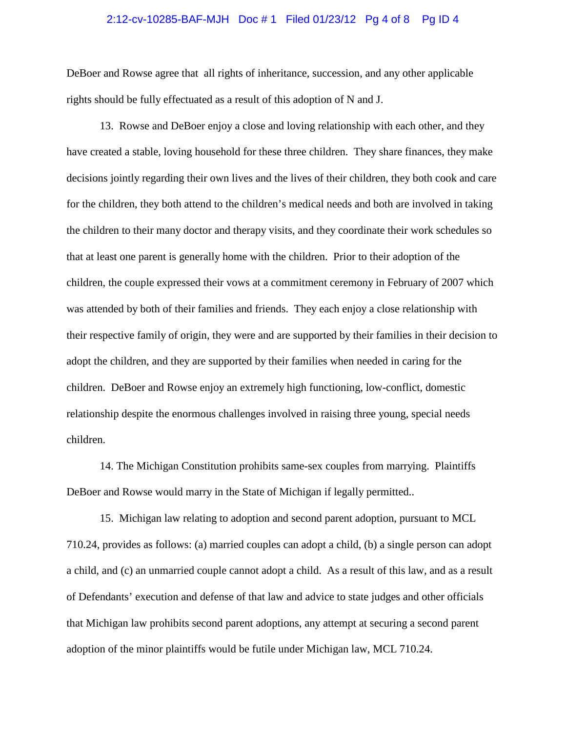## 2:12-cv-10285-BAF-MJH Doc # 1 Filed 01/23/12 Pg 4 of 8 Pg ID 4

DeBoer and Rowse agree that all rights of inheritance, succession, and any other applicable rights should be fully effectuated as a result of this adoption of N and J.

13. Rowse and DeBoer enjoy a close and loving relationship with each other, and they have created a stable, loving household for these three children. They share finances, they make decisions jointly regarding their own lives and the lives of their children, they both cook and care for the children, they both attend to the children's medical needs and both are involved in taking the children to their many doctor and therapy visits, and they coordinate their work schedules so that at least one parent is generally home with the children. Prior to their adoption of the children, the couple expressed their vows at a commitment ceremony in February of 2007 which was attended by both of their families and friends. They each enjoy a close relationship with their respective family of origin, they were and are supported by their families in their decision to adopt the children, and they are supported by their families when needed in caring for the children. DeBoer and Rowse enjoy an extremely high functioning, low-conflict, domestic relationship despite the enormous challenges involved in raising three young, special needs children.

14. The Michigan Constitution prohibits same-sex couples from marrying. Plaintiffs DeBoer and Rowse would marry in the State of Michigan if legally permitted..

15. Michigan law relating to adoption and second parent adoption, pursuant to MCL 710.24, provides as follows: (a) married couples can adopt a child, (b) a single person can adopt a child, and (c) an unmarried couple cannot adopt a child. As a result of this law, and as a result of Defendants' execution and defense of that law and advice to state judges and other officials that Michigan law prohibits second parent adoptions, any attempt at securing a second parent adoption of the minor plaintiffs would be futile under Michigan law, MCL 710.24.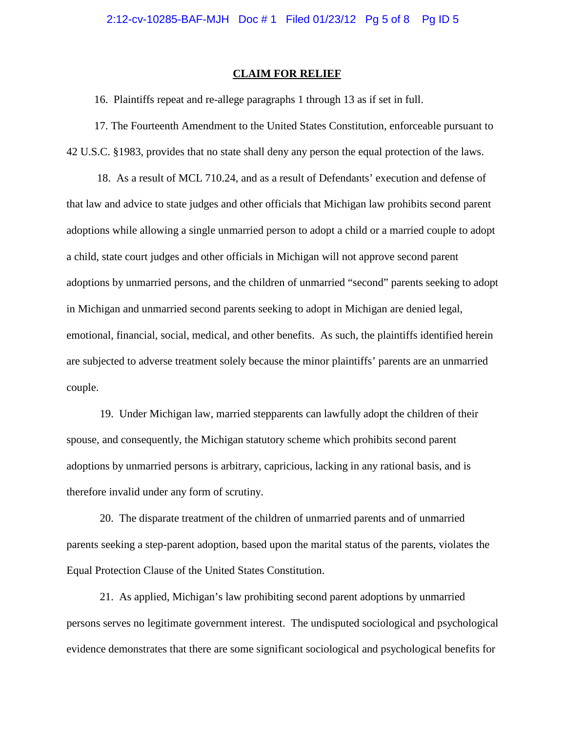#### **CLAIM FOR RELIEF**

16. Plaintiffs repeat and re-allege paragraphs 1 through 13 as if set in full.

 17. The Fourteenth Amendment to the United States Constitution, enforceable pursuant to 42 U.S.C. §1983, provides that no state shall deny any person the equal protection of the laws.

 18. As a result of MCL 710.24, and as a result of Defendants' execution and defense of that law and advice to state judges and other officials that Michigan law prohibits second parent adoptions while allowing a single unmarried person to adopt a child or a married couple to adopt a child, state court judges and other officials in Michigan will not approve second parent adoptions by unmarried persons, and the children of unmarried "second" parents seeking to adopt in Michigan and unmarried second parents seeking to adopt in Michigan are denied legal, emotional, financial, social, medical, and other benefits. As such, the plaintiffs identified herein are subjected to adverse treatment solely because the minor plaintiffs' parents are an unmarried couple.

19. Under Michigan law, married stepparents can lawfully adopt the children of their spouse, and consequently, the Michigan statutory scheme which prohibits second parent adoptions by unmarried persons is arbitrary, capricious, lacking in any rational basis, and is therefore invalid under any form of scrutiny.

20. The disparate treatment of the children of unmarried parents and of unmarried parents seeking a step-parent adoption, based upon the marital status of the parents, violates the Equal Protection Clause of the United States Constitution.

21. As applied, Michigan's law prohibiting second parent adoptions by unmarried persons serves no legitimate government interest. The undisputed sociological and psychological evidence demonstrates that there are some significant sociological and psychological benefits for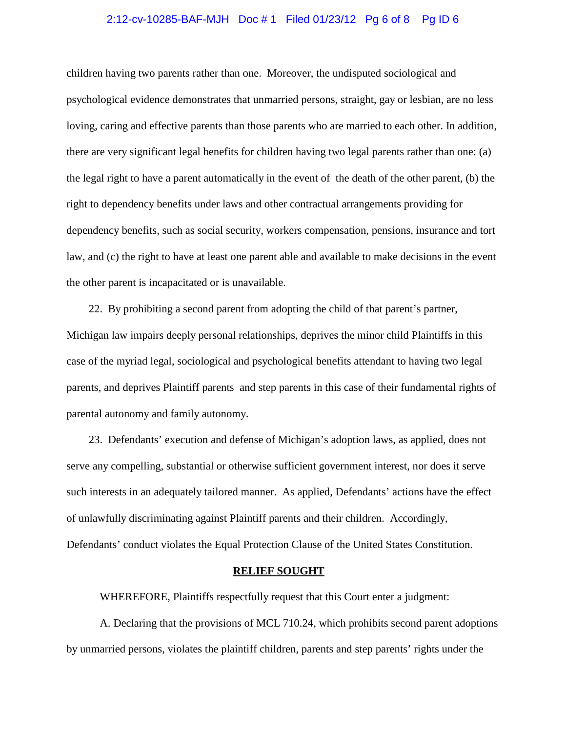## 2:12-cv-10285-BAF-MJH Doc # 1 Filed 01/23/12 Pg 6 of 8 Pg ID 6

children having two parents rather than one. Moreover, the undisputed sociological and psychological evidence demonstrates that unmarried persons, straight, gay or lesbian, are no less loving, caring and effective parents than those parents who are married to each other. In addition, there are very significant legal benefits for children having two legal parents rather than one: (a) the legal right to have a parent automatically in the event of the death of the other parent, (b) the right to dependency benefits under laws and other contractual arrangements providing for dependency benefits, such as social security, workers compensation, pensions, insurance and tort law, and (c) the right to have at least one parent able and available to make decisions in the event the other parent is incapacitated or is unavailable.

 22. By prohibiting a second parent from adopting the child of that parent's partner, Michigan law impairs deeply personal relationships, deprives the minor child Plaintiffs in this case of the myriad legal, sociological and psychological benefits attendant to having two legal parents, and deprives Plaintiff parents and step parents in this case of their fundamental rights of parental autonomy and family autonomy.

 23. Defendants' execution and defense of Michigan's adoption laws, as applied, does not serve any compelling, substantial or otherwise sufficient government interest, nor does it serve such interests in an adequately tailored manner. As applied, Defendants' actions have the effect of unlawfully discriminating against Plaintiff parents and their children. Accordingly, Defendants' conduct violates the Equal Protection Clause of the United States Constitution.

## **RELIEF SOUGHT**

WHEREFORE, Plaintiffs respectfully request that this Court enter a judgment:

A. Declaring that the provisions of MCL 710.24, which prohibits second parent adoptions by unmarried persons, violates the plaintiff children, parents and step parents' rights under the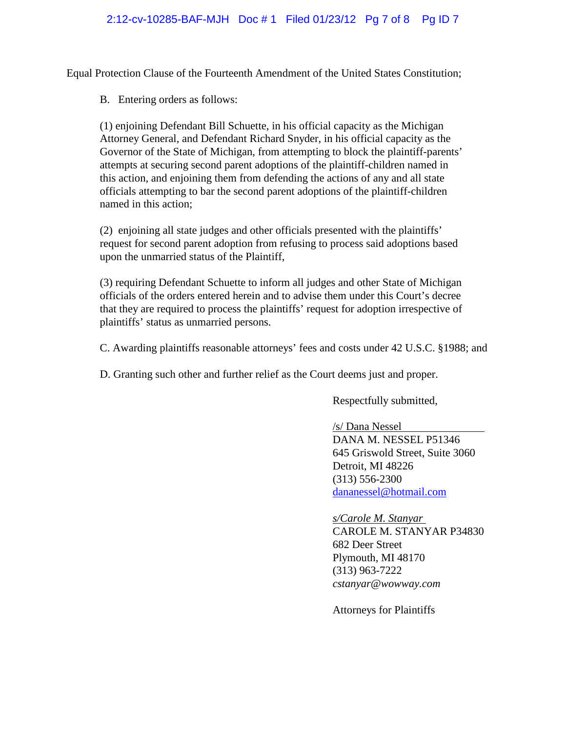# 2:12-cv-10285-BAF-MJH Doc # 1 Filed 01/23/12 Pg 7 of 8 Pg ID 7

Equal Protection Clause of the Fourteenth Amendment of the United States Constitution;

B. Entering orders as follows:

(1) enjoining Defendant Bill Schuette, in his official capacity as the Michigan Attorney General, and Defendant Richard Snyder, in his official capacity as the Governor of the State of Michigan, from attempting to block the plaintiff-parents' attempts at securing second parent adoptions of the plaintiff-children named in this action, and enjoining them from defending the actions of any and all state officials attempting to bar the second parent adoptions of the plaintiff-children named in this action;

(2) enjoining all state judges and other officials presented with the plaintiffs' request for second parent adoption from refusing to process said adoptions based upon the unmarried status of the Plaintiff,

(3) requiring Defendant Schuette to inform all judges and other State of Michigan officials of the orders entered herein and to advise them under this Court's decree that they are required to process the plaintiffs' request for adoption irrespective of plaintiffs' status as unmarried persons.

C. Awarding plaintiffs reasonable attorneys' fees and costs under 42 U.S.C. §1988; and

D. Granting such other and further relief as the Court deems just and proper.

Respectfully submitted,

/s/ Dana Nessel DANA M. NESSEL P51346 645 Griswold Street, Suite 3060 Detroit, MI 48226 (313) 556-2300 dananessel@hotmail.com

 *s/Carole M. Stanyar* CAROLE M. STANYAR P34830 682 Deer Street Plymouth, MI 48170 (313) 963-7222 *cstanyar@wowway.com*

Attorneys for Plaintiffs